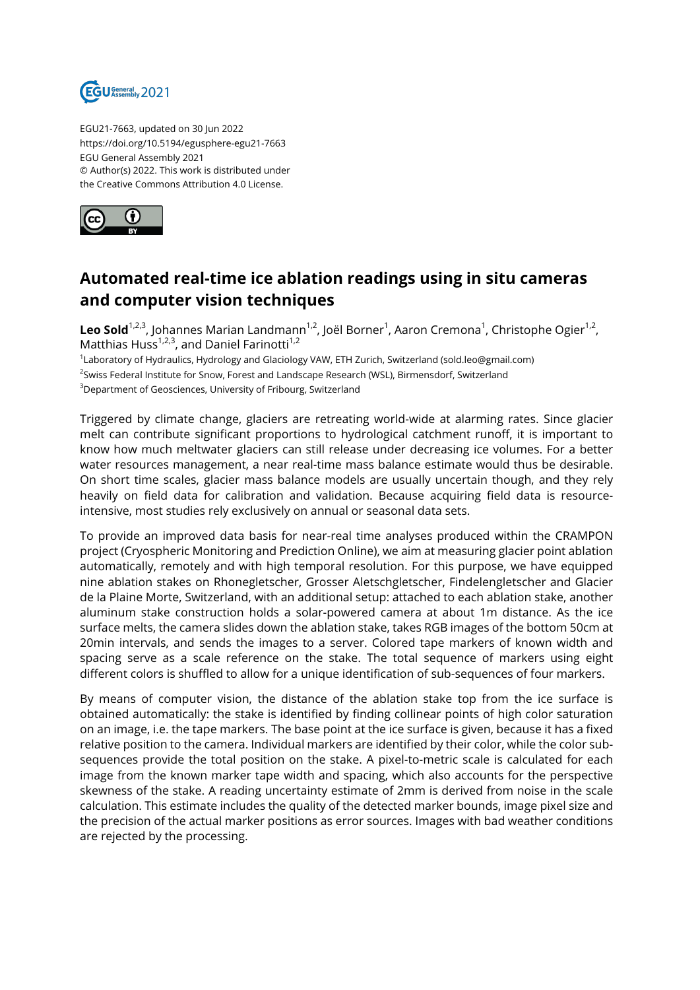

EGU21-7663, updated on 30 Jun 2022 https://doi.org/10.5194/egusphere-egu21-7663 EGU General Assembly 2021 © Author(s) 2022. This work is distributed under the Creative Commons Attribution 4.0 License.



## **Automated real-time ice ablation readings using in situ cameras and computer vision techniques**

**Leo Sold**<sup>1,2,3</sup>, Johannes Marian Landmann<sup>1,2</sup>, Joël Borner<sup>1</sup>, Aaron Cremona<sup>1</sup>, Christophe Ogier<sup>1,2</sup>, Matthias Huss<sup>1,2,3</sup>, and Daniel Farinotti<sup>1,2</sup>

1 Laboratory of Hydraulics, Hydrology and Glaciology VAW, ETH Zurich, Switzerland (sold.leo@gmail.com) <sup>2</sup>Swiss Federal Institute for Snow, Forest and Landscape Research (WSL), Birmensdorf, Switzerland <sup>3</sup>Department of Geosciences, University of Fribourg, Switzerland

Triggered by climate change, glaciers are retreating world-wide at alarming rates. Since glacier melt can contribute significant proportions to hydrological catchment runoff, it is important to know how much meltwater glaciers can still release under decreasing ice volumes. For a better water resources management, a near real-time mass balance estimate would thus be desirable. On short time scales, glacier mass balance models are usually uncertain though, and they rely heavily on field data for calibration and validation. Because acquiring field data is resourceintensive, most studies rely exclusively on annual or seasonal data sets.

To provide an improved data basis for near-real time analyses produced within the CRAMPON project (Cryospheric Monitoring and Prediction Online), we aim at measuring glacier point ablation automatically, remotely and with high temporal resolution. For this purpose, we have equipped nine ablation stakes on Rhonegletscher, Grosser Aletschgletscher, Findelengletscher and Glacier de la Plaine Morte, Switzerland, with an additional setup: attached to each ablation stake, another aluminum stake construction holds a solar-powered camera at about 1m distance. As the ice surface melts, the camera slides down the ablation stake, takes RGB images of the bottom 50cm at 20min intervals, and sends the images to a server. Colored tape markers of known width and spacing serve as a scale reference on the stake. The total sequence of markers using eight different colors is shuffled to allow for a unique identification of sub-sequences of four markers.

By means of computer vision, the distance of the ablation stake top from the ice surface is obtained automatically: the stake is identified by finding collinear points of high color saturation on an image, i.e. the tape markers. The base point at the ice surface is given, because it has a fixed relative position to the camera. Individual markers are identified by their color, while the color subsequences provide the total position on the stake. A pixel-to-metric scale is calculated for each image from the known marker tape width and spacing, which also accounts for the perspective skewness of the stake. A reading uncertainty estimate of 2mm is derived from noise in the scale calculation. This estimate includes the quality of the detected marker bounds, image pixel size and the precision of the actual marker positions as error sources. Images with bad weather conditions are rejected by the processing.